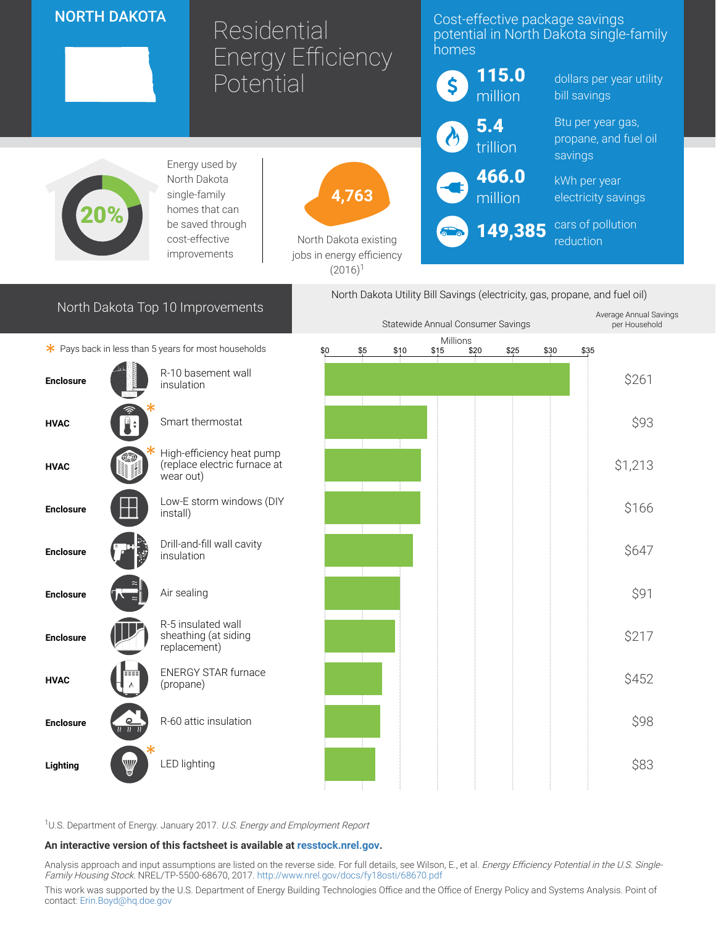## NORTH DAKOTA

# Residential Energy Efficiency Potential

### Cost-effective package savings potential in North Dakota single-family homes



<sup>1</sup>U.S. Department of Energy. January 2017. U.S. Energy and Employment Report

#### An interactive version of this factsheet is available at [resstock.nrel.gov.](https://resstock.nrel.gov/)

Analysis approach and input assumptions are listed on the reverse side. For full details, see Wilson, E., et al. Energy Efficiency Potential in the U.S. Single-Family Housing Stock. NREL/TP-5500-68670, 2017. <http://www.nrel.gov/docs/fy18osti/68670.pdf>

Lighting  $\begin{pmatrix} \frac{1}{2} & \frac{1}{2} & \frac{1}{2} \\ \frac{1}{2} & \frac{1}{2} & \frac{1}{2} \end{pmatrix}$  LED lighting the contract of the contract of the contract of the contract of the contract of the contract of the contract of the contract of the contra

This work was supported by the U.S. Department of Energy Building Technologies Office and the Office of Energy Policy and Systems Analysis. Point of contact: [Erin.Boyd@hq.doe.gov](mailto:Erin.Boyd@hq.doe.gov)